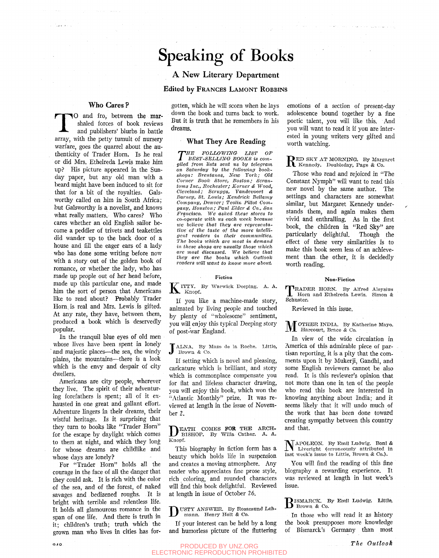# speaking of Books

## A New Literary Department

### **Edited by FRANCES LAMONT ROBBINS**

### **Who Cares ?**

.<br>Tanzania e la

The cartes:<br>
O and fro, between the mar-<br>
shaled forces of book reviews<br>
and publishers' blurbs in battle<br>
array, with the petty tumult of nursery O and fro, between the marshaled forces of book reviews and publishers' blurbs in battle warfare, goes the quarrel about the authenticity of Trader Horn. Is he real or did Mrs. Ethelreda Lewis make him up? His picture appeared in the Sunday paper, but any old man with a beard might have been induced to sit for that for a bit of the royalties. Galsworthy called on him in South Africa; but Galsworthy is a novelist, and knows what really matters. Who cares? Who cares whether an old English sailor become a peddler of trivets and teakettles did wander up to the back door of a house and fill the eager ears of a lady who has done some writing before now with a story out of the golden book of romance, or whether the lady, who has made up people out of her head before, made up this particular one, and made him the sort of person that Americans like to read about? Probably Trader Horn is real and Mrs. Lewis is gifted. At any rate, they have, between them, produced a book which is deservedly popular.

In the tranquil blue eyes of old men whose lives have been spent in lonely and majestic places—the sea, the windy plains, the mountains—there is a look which is the envy and despair of city dwellers.

Americans are city people, wherever they live. The spirit of their adventuring forefathers is spent; all of it exhausted in one great and gallant effort. Adventure lingers in their dreams, their wistful heritage. Is it surprising that they turn to books like "Trader Horn" for the escape by daylight which comes to them at night, and which they long for whose dreams are childlike and whose days are lonely?

For "Trader Horn" holds all the courage in the face of all the danger that they could ask. It is rich with the color of the sea, and of the forest, of naked savages and bedizened roughs. It is bright with terrible and relentless life. It holds all glamourous romance in the span of one life. And there is truth in it; children's truth; truth which the grown man who lives in cities has forgotten, which he will scorn when he lays down the book and turns back to work. But it is truth that he remembers in his dreams.

#### **What They Are Reading**

*THE FOLLOWING LIST OF*<br> *BEST-SELLING BOOKS* is compiled from lists sent us by telegram *HE FOLLOWING- LIST OF BEST-SELLINO- BOOKS is comon Saturday 'by the following hookshops: BrentanoSj New York; Old Corner Book Store, Boston; Scrantoms Inc., Rochester; Korner & Wood, Cleveland; Scruggs, Vandevoort & Barney, St. Louis; Kendrick Bellamy Company, Denver; Teolin Pillot Company, Houston; Paul Elder & Co., San*   $Francisco. We asked these stores to$ *co-operate with us each week 'because we believe that they are representative of the taste of the more intelligent readers in their communities. The 'books which are most in demand in these shops are usually those ivhich are most discussed. We believe that they are the 'books which Outlook readers will want to know more about* 

#### **Fiction**

K ITTY. By Warwick Deeping. A. A. Knopf.

If you like a machine-made story, animated by Hving people and touched by plenty of "wholesome" sentiment, you will enjoy this typical Deeping story of post-war England.

JALNA. By Mazo de la Roche. Little, Brown & Co. Brown & Co.

If setting which is novel and pleasing, caricature which is brilliant, and story which is commonplace compensate you for fiat and lifeless character drawing, you will enjoy this book, which won the "Atlantic Monthly" prize. It was reviewed at length in the issue of November 2.

**DEATH COMES FOR THE ARCH-**<br>EISHOP. By Willa Cather. A. A. BISHOP. By Willa Gather. A. A. Knopf.

This biography in fiction form has a beauty which holds life in suspension and creates a moving atmosphere. Any reader who appreciates fine prose style, rich coloring, and rounded characters will find this book delightful. Reviewed at length in issue of October 26.

USTY ANSWER. By Rosamund Lehmann. Henry Holt *&* Co.

If your interest can be held by a long and humorless picture of the fluttering emotions of a section of present-day adolescence bound together by a fine poetic talent, you will like this. And you will want to read it if you are interested in young writers very gifted and worth watching.

 $\mathbf R$  ED SKY AT MORNING. By Margaret Kennedy. Doubleday, Page & Co.

Those who read and rejoiced in "The Constant Nymph" will want to read this new novel by the same author. The settings and characters are somewhat similar, but Margaret Kennedy understands them, and again makes them vivid and enthralling. As in the first book, the children in "Red Sky" are particularly delightful. Though the effect of these very similarities is to make this book seem less of an achievement than, the other, it is decidedly worth reading.

#### **Non-Fiction**

TRADI<br>Schuster. RADER HORN. By Alfred Aloysius Horn and Ethelreda Lewis. Simon *&* 

Reviewed in this issue.

M OTHER INDIA. By Katherine Mayo. Harcourt, Brace & Co.

In view of the wide circulation in America of this admirable piece of partisan reporting, it is a pity that the comments upon it by Mukerji, Gandhi, and some English reviewers cannot be also read. It is this reviewer's opinion that not more than one in ten of the people who read this book are interested in knowing anything about India; and it seems likely that it will undo much of the work that has been done toward creating sympathy between this country and that.

 $N_{\text{Liveright}}$  (erroneously attributed in  $\frac{1}{N_{\text{Liveright}}}$  (erroneously attributed in last week's issue to Little, Brown & Co.).

You will find the reading of this fine biography a rewarding experience. It was reviewed at length in last week's issue.

B ISMARCK. By Emll Ludwig. **Little,**  Brown & Co.

In those who will read it as history the book presupposes more knowledge of Bismarck's Germany than most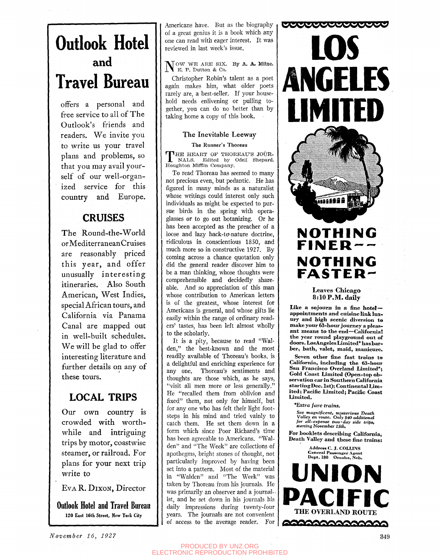# **Outlook Hotel and Travel Bureau**

offers a personal and free service to all of The Outlook's friends and readers. We invite you to write us your travel plans and problems, so that you may avail yourself of our well-organized service for this country and Europe.

# **CRUISES**

The Round-the-World orMediterraneanCruises are reasonably priced this year, and offer unusually interesting itineraries. Also South American, West Indies, special African tours, and California via Panama Canal are mapped out in well-built schedules. We will be glad to offer interesting literature and further details on any of these tours.

# **LOCAL TRIPS**

Our own country is crowded with worthwhile and intriguing trips by motor, coastwise steamer, or railroad. For plans for your next trip write to

Eva R. DIXON, Director

**Outlook Hotel and Travel Bureau**  120 East 16th Street, New York City

Americans have. But as the biography of a great genius it is a book which any one can read with eager interest. It was reviewed in last week's issue.

**N** OW WE ARE SIX. E. P. Dutton & Co. By A. A. Milne.

Christopher Robin's talent as a poet again makes him, what older poets rarely are, a best-seller. If your household needs enlivening or pulling together, you can do no better than by taking home a copy of this book.

## **The Inevitable Leeway**

### The Runner's Thoreau

THE HEART OF THOREAU'S JOURNALS. Edited by Odell Shepard. THE HEART OF THOREAU'S JOUR-Houghton Mifflin Company.

To read Thoreau has seemed to many not precious even, but pedantic. He has figured in many minds as a naturalist whose writings could interest only such individuals as might be expected to pursue birds in the spring with operaglasses or to go out botanizing. Or he has been accepted as the preacher of a loose and lazy back-to-nature doctrine, ridiculous in conscientious 1850, and much more so in constructive 1927. By coming across a chance quotation only did the general reader discover him to be a man thinking, whose thoughts were comprehensible and decidedly shareable. And so appreciation of this man whose contribution to American letters is of the greatest, whose interest for Americans is general, and whose gifts lie easily within the range of ordinary readers' tastes, has been left almost wholly to the scholarly.

It is a pity, because to read "Walden," the best-known and the most readily available of Thoreau's books, is a delightful and enriching experience for any one. Thoreau's sentiments and thoughts are those which, as he says, "visit all men more or less generally." He "recalled them from oblivion and fixed" them, not only for himself, but for any one who has felt their light footsteps in his mind and tried vainly to catch them. He set them down in a form which since Poor Richard's time has been agreeable to Americans. "Walden" and "The Week" are collections of apothegms, bright stones of thought, not particularly improved by having been set into a pattern. Most of the material in "Walden" and "The Week" was taken by Thoreau from his journals. He was primarily an observer and a journal-, ist, and he set down in his journals his daily impressions during twenty-four years. The journals are not convenient of access to the average reader. For



# **^WBHHBli** *m*  **NOTHING FINER NOTHING FASTER-**

**Leaves Chicago**  8:10 P.M. daily

Like a sojourn in a fine hotelappointments and cuisine link luxury and high scenic diversion to make your 63-hour journey a pleasant means to the end-California! the year round playground out of doors. LosAngeles Limited\* has barber, bath, valet, maid, manicure.

Seven other fine fast trains to California, including the 63-hour San Francisco Overland Limited\*; Gold Coast Limited (Open-top observation car in Southern California starting Dec. 1st); Continental Limited; Pacific Limited; Pacific Coast Limited.

*\*Extra fare trains.* 

*See magnificent, mysterious Death Valley en route. Only \$40 additional for all-expense two-day side trips, starting tQovember ISth,* 

For booklets describing California, Death Valley and these fine trains:

> Address C. J. COLLINS General Passenger Agent Dept. 180 Omaha , Neb.

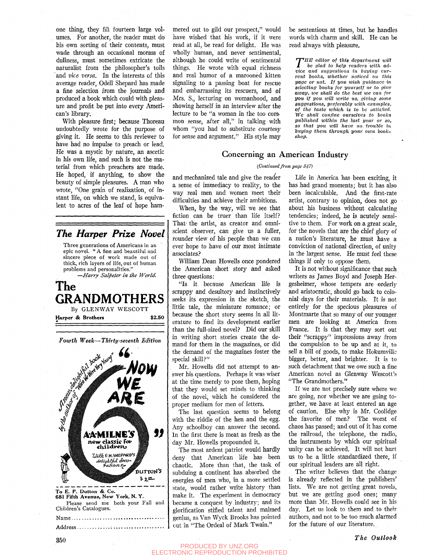one thing, they fill fourteen large volumes. For another, the reader must do his own sorting of their contents, must wade through an occasional morass of dullness, must sometimes extricate the naturalist from the philosopher's toils and *vice versa.* In the interests of this average reader, Odell Shepard has made a fine selection from the journals and produced a book which could with pleasure and profit be put into every American's library.

With pleasure first; because Thoreau undoubtedly wrote for the purpose of giving it. He seems to this reviewer to have had no impulse to preach or lead. He was a mystic by nature, an ascetic in his own hfe, and such is not the material from which preachers are made. He hoped, if anything, to show the beauty of simple pleasures. A man who wrote, "One grain of realization, of instant life, on which we stand, is equivalent to acres of the leaf of hope ham-

*The Harper Prize Novel*  Three generations of Americans in an epic novel. " A fine and beautiful and sincere piece of work made out of thick, rich layers of life, out of human problems and personalities." —*Harry Salpeter in the World.* 



*Fourth Week***—***Thirty-seventh Edition* 



mered out to gild our prospect," would have wished that his work, if it were read at all, be read for delight. He was wholly human, and never sentimental, although he could write of sentimental things. He wrote with equal richness and real humor of a marooned kitten signaling to a passing boat for rescue and embarrassing its rescuers, and of Mrs. S., lecturing on womanhood, and showing herself in an interview after the lecture to be "a woman in the too common sense, after all," in talking with whom "you had to substitute courtesy for sense and argument." His style may

be sententious at times, but he handles words with charm and skill. He can be read always with pleasure.

*THE editor of this department will*<br>*vice glad to help readers with advice and suggestions in buying cur*iJE *editor of this department win lie glad to help readers with adrent looks, whether noticed on this page or not. If you wish guidance in selecting 'books for yourself or to give away, we shall do the best we can for you if you will write us, giving some suggestions, preferably with examples, of the taste which is to he satisfied. We shall confine ourselves to books published within the last year or so, so that you will have no. trouble in 'buying them through your own book*shop.

### Goncerning an American Industry

#### *{Continued from, page 347)*

and mechanized tale and give the reader a sense of immediacy to reality, to the way real men and women meet their difficulties and achieve their ambitions.

When, by the way, will we see that fiction can be truer than life itself? That- the artist, as creator and omniscient observer, can give us a fuller, rounder view of his people than we can ever hope to have of our most intimate associates?

William Dean Howells once pondered the American short story and asked three questions:

"Is it because American life is scrappy and desultory and instinctively seeks its expression in the sketch, the little tale, the miniature romance; or because the short story seems in all literature to find its development earlier than the full-sized novel? Did our skill in writing short stories create the demand for them in the magazines, or did the demand of the magazines foster the special skill?"

Mr. Howells did not attempt to answer his questions. Perhaps it was wiser at the time merely to pose them, hoping that they would set minds to thinking of the novel, which he considered the proper medium for men of letters.

The last question seems to belong with the riddle of the hen and the egg. Any schoolboy can answer the second. In the first there is meat as fresh as the day Mr. Howells propounded it.

The most ardent patriot would hardly deny that American life has been chaotic. More than that, the task of subduing a continent has absorbed the energies of men who, in a more settled state, would rather write history than make it. The experiment in democracy became a conquest by industry; and its glorification stifled talent and maimed genius, as Van Wyck Brooks has pointed out in "The Ordeal of Mark Twain."

Life in America has been exciting, it has had grand moments; but it has also been incalculable. And the first-rate artist, contrary to opinion, does not go about his business without calculating tendencies; indeed, he is acutely sensitive to them. For work on a great scale, for the novels that are the chief glory of a nation's literature, he must have a conviction of national direction, of unity in the largest sense. He must feel these things if only to oppose them.

It is not without significance that such writers as James Boyd and Joseph Hergesheimer, whose tempers are orderly and aristocratic, should go back to colonial days for their materials. It is not entirely for the specious pleasures of Montmarte that so many of our younger men are looking at America from France. It is that they may sort out their "scrappy" impressions away from the compulsion to be up and at it, to sell a bill of goods, to make Hokumvillc bigger, better, and brighter. It is to such detachment that we owe such a fine American novel as Glenway Wescott's "The Grandmothers."

If we are not precisely sure where we are going, nor whether we are going together, we have at least entered an age of caution. Else why is Mr. Coolidge the favorite of men? The worst of chaos has passed; and out of it has come the railroad, the telephone, the radio, the instruments by which our spiritual unity can be achieved. It will not hurt us to be a little standardized there, if our spiritual leaders are all right.

The writer believes that the change is already reflected in the publishers' lists. We are not getting great novels, but we are getting good ones; many more than Mr. Howells could see in his day. Let us look to them and to their authors, and not to be too much alarmed for the future of our literature.

PRODUCED BY UNZ.ORG ELECTRONIC REPRODUCTION PROHIBITED